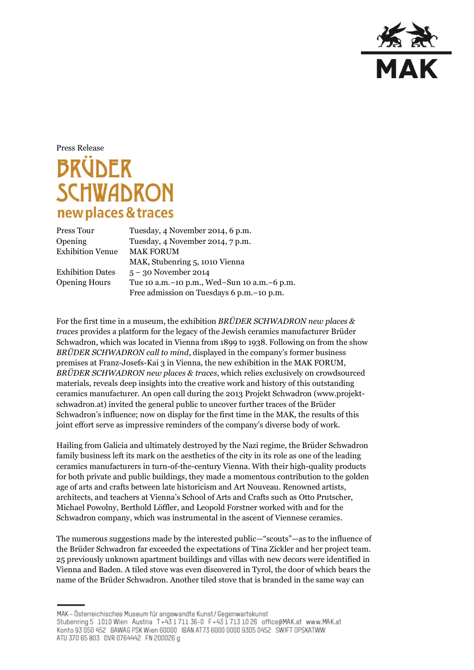

Press Release

## **BRÜDER SCHWADRON** new places & traces

| Press Tour              | Tuesday, 4 November 2014, 6 p.m.                |
|-------------------------|-------------------------------------------------|
| Opening                 | Tuesday, 4 November 2014, 7 p.m.                |
| <b>Exhibition Venue</b> | <b>MAK FORUM</b>                                |
|                         | MAK, Stubenring 5, 1010 Vienna                  |
| <b>Exhibition Dates</b> | $5 - 30$ November 2014                          |
| <b>Opening Hours</b>    | Tue 10 a.m. - 10 p.m., Wed-Sun 10 a.m. - 6 p.m. |
|                         | Free admission on Tuesdays 6 p.m. - 10 p.m.     |

For the first time in a museum, the exhibition *BRÜDER SCHWADRON new places & traces* provides a platform for the legacy of the Jewish ceramics manufacturer Brüder Schwadron, which was located in Vienna from 1899 to 1938. Following on from the show *BRÜDER SCHWADRON call to mind*, displayed in the company's former business premises at Franz-Josefs-Kai 3 in Vienna, the new exhibition in the MAK FORUM, *BRÜDER SCHWADRON new places & traces*, which relies exclusively on crowdsourced materials, reveals deep insights into the creative work and history of this outstanding ceramics manufacturer. An open call during the 2013 Projekt Schwadron (www.projektschwadron.at) invited the general public to uncover further traces of the Brüder Schwadron's influence; now on display for the first time in the MAK, the results of this joint effort serve as impressive reminders of the company's diverse body of work.

Hailing from Galicia and ultimately destroyed by the Nazi regime, the Brüder Schwadron family business left its mark on the aesthetics of the city in its role as one of the leading ceramics manufacturers in turn-of-the-century Vienna. With their high-quality products for both private and public buildings, they made a momentous contribution to the golden age of arts and crafts between late historicism and Art Nouveau. Renowned artists, architects, and teachers at Vienna's School of Arts and Crafts such as Otto Prutscher, Michael Powolny, Berthold Löffler, and Leopold Forstner worked with and for the Schwadron company, which was instrumental in the ascent of Viennese ceramics.

The numerous suggestions made by the interested public—"scouts"—as to the influence of the Brüder Schwadron far exceeded the expectations of Tina Zickler and her project team. 25 previously unknown apartment buildings and villas with new decors were identified in Vienna and Baden. A tiled stove was even discovered in Tyrol, the door of which bears the name of the Brüder Schwadron. Another tiled stove that is branded in the same way can

MAK - Österreichisches Museum für angewandte Kunst / Gegenwartskunst Stubenring 5 1010 Wien Austria T+43 1711 36-0 F+43 1713 10 26 office@MAK.at www.MAK.at Konto 93 050 452 BAWAG PSK Wien 60000 IBAN AT73 6000 0000 9305 0452 SWIFT OPSKATWW ATU 370 65 803 DVR 0764442 FN 200026 g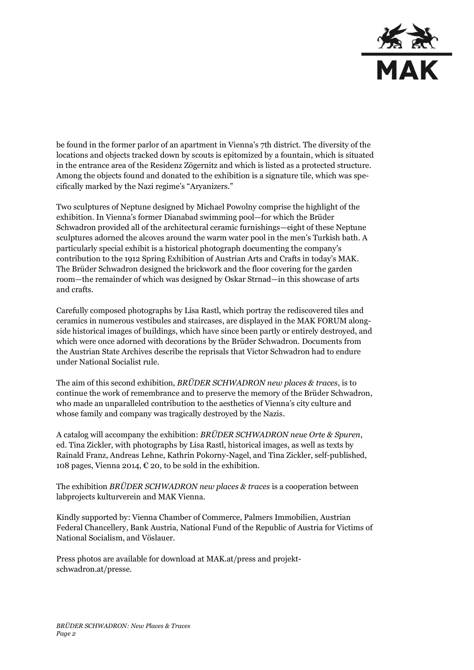

be found in the former parlor of an apartment in Vienna's 7th district. The diversity of the locations and objects tracked down by scouts is epitomized by a fountain, which is situated in the entrance area of the Residenz Zögernitz and which is listed as a protected structure. Among the objects found and donated to the exhibition is a signature tile, which was specifically marked by the Nazi regime's "Aryanizers."

Two sculptures of Neptune designed by Michael Powolny comprise the highlight of the exhibition. In Vienna's former Dianabad swimming pool—for which the Brüder Schwadron provided all of the architectural ceramic furnishings—eight of these Neptune sculptures adorned the alcoves around the warm water pool in the men's Turkish bath. A particularly special exhibit is a historical photograph documenting the company's contribution to the 1912 Spring Exhibition of Austrian Arts and Crafts in today's MAK. The Brüder Schwadron designed the brickwork and the floor covering for the garden room—the remainder of which was designed by Oskar Strnad—in this showcase of arts and crafts.

Carefully composed photographs by Lisa Rastl, which portray the rediscovered tiles and ceramics in numerous vestibules and staircases, are displayed in the MAK FORUM alongside historical images of buildings, which have since been partly or entirely destroyed, and which were once adorned with decorations by the Brüder Schwadron. Documents from the Austrian State Archives describe the reprisals that Victor Schwadron had to endure under National Socialist rule.

The aim of this second exhibition, *BRÜDER SCHWADRON new places & traces*, is to continue the work of remembrance and to preserve the memory of the Brüder Schwadron, who made an unparalleled contribution to the aesthetics of Vienna's city culture and whose family and company was tragically destroyed by the Nazis.

A catalog will accompany the exhibition: *BRÜDER SCHWADRON neue Orte & Spuren*, ed. Tina Zickler, with photographs by Lisa Rastl, historical images, as well as texts by Rainald Franz, Andreas Lehne, Kathrin Pokorny-Nagel, and Tina Zickler, self-published, 108 pages, Vienna 2014,  $\epsilon$  20, to be sold in the exhibition.

The exhibition *BRÜDER SCHWADRON new places & traces* is a cooperation between labprojects kulturverein and MAK Vienna.

Kindly supported by: Vienna Chamber of Commerce, Palmers Immobilien, Austrian Federal Chancellery, Bank Austria, National Fund of the Republic of Austria for Victims of National Socialism, and Vöslauer.

Press photos are available for download at MAK.at/press and projektschwadron.at/presse.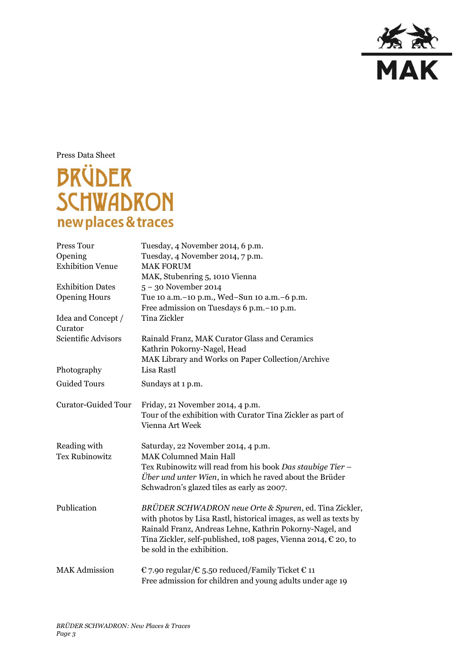

Press Data Sheet

## **BRÜDER SCHWADRON** new places & traces

| Press Tour                 | Tuesday, 4 November 2014, 6 p.m.                                        |
|----------------------------|-------------------------------------------------------------------------|
| Opening                    | Tuesday, 4 November 2014, 7 p.m.                                        |
| <b>Exhibition Venue</b>    | <b>MAK FORUM</b>                                                        |
|                            | MAK, Stubenring 5, 1010 Vienna                                          |
| <b>Exhibition Dates</b>    | $5 - 30$ November 2014                                                  |
| <b>Opening Hours</b>       | Tue 10 a.m.-10 p.m., Wed-Sun 10 a.m.-6 p.m.                             |
|                            | Free admission on Tuesdays 6 p.m. - 10 p.m.                             |
| Idea and Concept /         | <b>Tina Zickler</b>                                                     |
| Curator                    |                                                                         |
| Scientific Advisors        | Rainald Franz, MAK Curator Glass and Ceramics                           |
|                            | Kathrin Pokorny-Nagel, Head                                             |
|                            | MAK Library and Works on Paper Collection/Archive                       |
| Photography                | Lisa Rastl                                                              |
| <b>Guided Tours</b>        | Sundays at 1 p.m.                                                       |
| <b>Curator-Guided Tour</b> | Friday, 21 November 2014, 4 p.m.                                        |
|                            | Tour of the exhibition with Curator Tina Zickler as part of             |
|                            | Vienna Art Week                                                         |
| Reading with               | Saturday, 22 November 2014, 4 p.m.                                      |
| <b>Tex Rubinowitz</b>      | <b>MAK Columned Main Hall</b>                                           |
|                            | Tex Rubinowitz will read from his book Das staubige Tier -              |
|                            | <i>Über und unter Wien</i> , in which he raved about the Brüder         |
|                            | Schwadron's glazed tiles as early as 2007.                              |
| Publication                | BRÜDER SCHWADRON neue Orte & Spuren, ed. Tina Zickler,                  |
|                            | with photos by Lisa Rastl, historical images, as well as texts by       |
|                            | Rainald Franz, Andreas Lehne, Kathrin Pokorny-Nagel, and                |
|                            | Tina Zickler, self-published, 108 pages, Vienna 2014, $\epsilon$ 20, to |
|                            | be sold in the exhibition.                                              |
| <b>MAK Admission</b>       | € 7.90 regular/€ 5.50 reduced/Family Ticket € 11                        |
|                            | Free admission for children and young adults under age 19               |